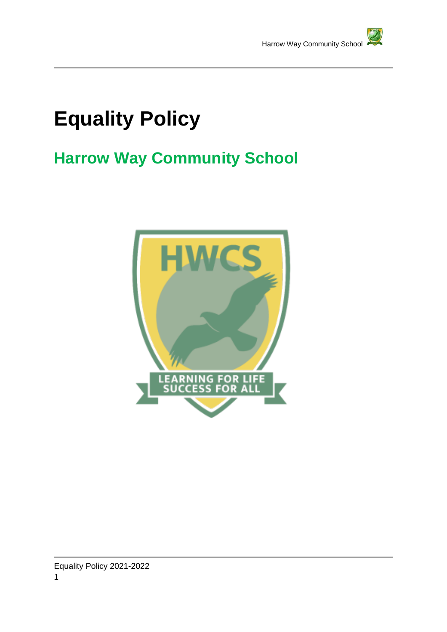

# **Equality Policy**

# **Harrow Way Community School**

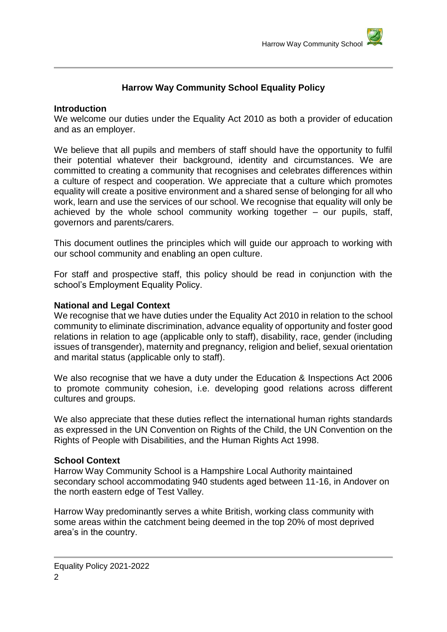# **Harrow Way Community School Equality Policy**

#### **Introduction**

We welcome our duties under the Equality Act 2010 as both a provider of education and as an employer.

We believe that all pupils and members of staff should have the opportunity to fulfil their potential whatever their background, identity and circumstances. We are committed to creating a community that recognises and celebrates differences within a culture of respect and cooperation. We appreciate that a culture which promotes equality will create a positive environment and a shared sense of belonging for all who work, learn and use the services of our school. We recognise that equality will only be achieved by the whole school community working together  $-$  our pupils, staff, governors and parents/carers.

This document outlines the principles which will guide our approach to working with our school community and enabling an open culture.

For staff and prospective staff, this policy should be read in conjunction with the school's Employment Equality Policy.

#### **National and Legal Context**

We recognise that we have duties under the Equality Act 2010 in relation to the school community to eliminate discrimination, advance equality of opportunity and foster good relations in relation to age (applicable only to staff), disability, race, gender (including issues of transgender), maternity and pregnancy, religion and belief, sexual orientation and marital status (applicable only to staff).

We also recognise that we have a duty under the Education & Inspections Act 2006 to promote community cohesion, i.e. developing good relations across different cultures and groups.

We also appreciate that these duties reflect the international human rights standards as expressed in the UN Convention on Rights of the Child, the UN Convention on the Rights of People with Disabilities, and the Human Rights Act 1998.

#### **School Context**

Harrow Way Community School is a Hampshire Local Authority maintained secondary school accommodating 940 students aged between 11-16, in Andover on the north eastern edge of Test Valley.

Harrow Way predominantly serves a white British, working class community with some areas within the catchment being deemed in the top 20% of most deprived area's in the country.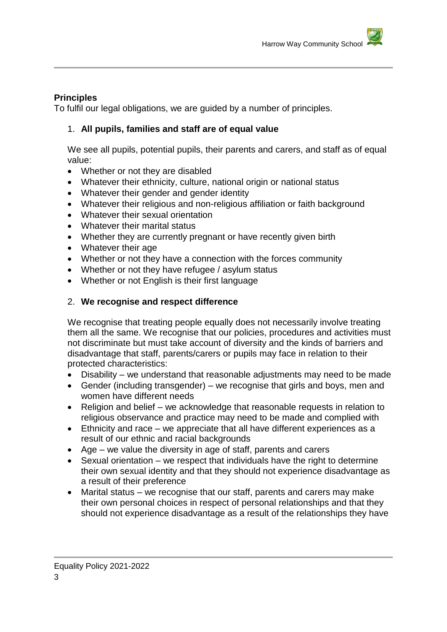## **Principles**

To fulfil our legal obligations, we are guided by a number of principles.

# 1. **All pupils, families and staff are of equal value**

We see all pupils, potential pupils, their parents and carers, and staff as of equal value:

- Whether or not they are disabled
- Whatever their ethnicity, culture, national origin or national status
- Whatever their gender and gender identity
- Whatever their religious and non-religious affiliation or faith background
- Whatever their sexual orientation
- Whatever their marital status
- Whether they are currently pregnant or have recently given birth
- Whatever their age
- Whether or not they have a connection with the forces community
- Whether or not they have refugee / asylum status
- Whether or not English is their first language

# 2. **We recognise and respect difference**

We recognise that treating people equally does not necessarily involve treating them all the same. We recognise that our policies, procedures and activities must not discriminate but must take account of diversity and the kinds of barriers and disadvantage that staff, parents/carers or pupils may face in relation to their protected characteristics:

- Disability we understand that reasonable adjustments may need to be made
- Gender (including transgender) we recognise that girls and boys, men and women have different needs
- Religion and belief we acknowledge that reasonable requests in relation to religious observance and practice may need to be made and complied with
- Ethnicity and race we appreciate that all have different experiences as a result of our ethnic and racial backgrounds
- Age we value the diversity in age of staff, parents and carers
- Sexual orientation we respect that individuals have the right to determine their own sexual identity and that they should not experience disadvantage as a result of their preference
- Marital status we recognise that our staff, parents and carers may make their own personal choices in respect of personal relationships and that they should not experience disadvantage as a result of the relationships they have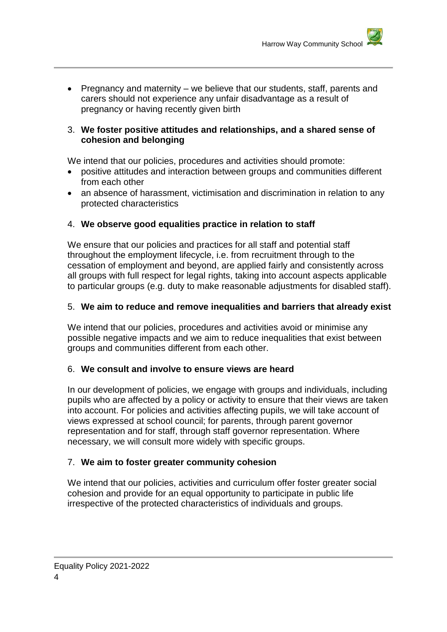• Pregnancy and maternity – we believe that our students, staff, parents and carers should not experience any unfair disadvantage as a result of pregnancy or having recently given birth

#### 3. **We foster positive attitudes and relationships, and a shared sense of cohesion and belonging**

We intend that our policies, procedures and activities should promote:

- positive attitudes and interaction between groups and communities different from each other
- an absence of harassment, victimisation and discrimination in relation to any protected characteristics

# 4. **We observe good equalities practice in relation to staff**

We ensure that our policies and practices for all staff and potential staff throughout the employment lifecycle, i.e. from recruitment through to the cessation of employment and beyond, are applied fairly and consistently across all groups with full respect for legal rights, taking into account aspects applicable to particular groups (e.g. duty to make reasonable adjustments for disabled staff).

# 5. **We aim to reduce and remove inequalities and barriers that already exist**

We intend that our policies, procedures and activities avoid or minimise any possible negative impacts and we aim to reduce inequalities that exist between groups and communities different from each other.

#### 6. **We consult and involve to ensure views are heard**

In our development of policies, we engage with groups and individuals, including pupils who are affected by a policy or activity to ensure that their views are taken into account. For policies and activities affecting pupils, we will take account of views expressed at school council; for parents, through parent governor representation and for staff, through staff governor representation. Where necessary, we will consult more widely with specific groups.

#### 7. **We aim to foster greater community cohesion**

We intend that our policies, activities and curriculum offer foster greater social cohesion and provide for an equal opportunity to participate in public life irrespective of the protected characteristics of individuals and groups.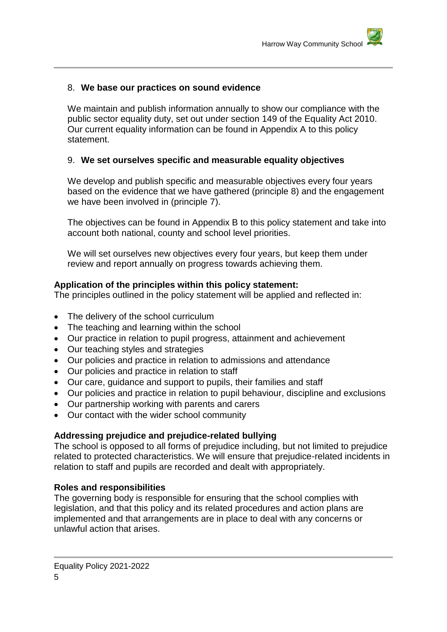## 8. **We base our practices on sound evidence**

We maintain and publish information annually to show our compliance with the public sector equality duty, set out under section 149 of the Equality Act 2010. Our current equality information can be found in Appendix A to this policy statement.

#### 9. **We set ourselves specific and measurable equality objectives**

We develop and publish specific and measurable objectives every four years based on the evidence that we have gathered (principle 8) and the engagement we have been involved in (principle 7).

The objectives can be found in Appendix B to this policy statement and take into account both national, county and school level priorities.

We will set ourselves new objectives every four years, but keep them under review and report annually on progress towards achieving them.

#### **Application of the principles within this policy statement:**

The principles outlined in the policy statement will be applied and reflected in:

- The delivery of the school curriculum
- The teaching and learning within the school
- Our practice in relation to pupil progress, attainment and achievement
- Our teaching styles and strategies
- Our policies and practice in relation to admissions and attendance
- Our policies and practice in relation to staff
- Our care, guidance and support to pupils, their families and staff
- Our policies and practice in relation to pupil behaviour, discipline and exclusions
- Our partnership working with parents and carers
- Our contact with the wider school community

#### **Addressing prejudice and prejudice-related bullying**

The school is opposed to all forms of prejudice including, but not limited to prejudice related to protected characteristics. We will ensure that prejudice-related incidents in relation to staff and pupils are recorded and dealt with appropriately.

#### **Roles and responsibilities**

The governing body is responsible for ensuring that the school complies with legislation, and that this policy and its related procedures and action plans are implemented and that arrangements are in place to deal with any concerns or unlawful action that arises.